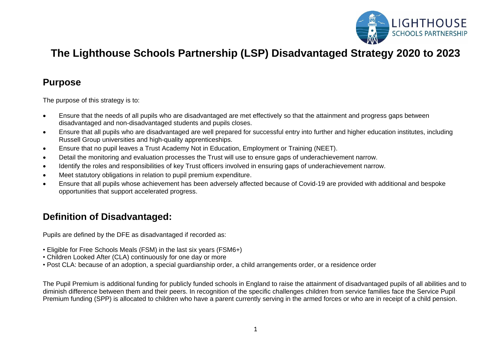

# **The Lighthouse Schools Partnership (LSP) Disadvantaged Strategy 2020 to 2023**

#### **Purpose**

The purpose of this strategy is to:

- Ensure that the needs of all pupils who are disadvantaged are met effectively so that the attainment and progress gaps between disadvantaged and non-disadvantaged students and pupils closes.
- Ensure that all pupils who are disadvantaged are well prepared for successful entry into further and higher education institutes, including Russell Group universities and high-quality apprenticeships.
- Ensure that no pupil leaves a Trust Academy Not in Education, Employment or Training (NEET).
- Detail the monitoring and evaluation processes the Trust will use to ensure gaps of underachievement narrow.
- Identify the roles and responsibilities of key Trust officers involved in ensuring gaps of underachievement narrow.
- Meet statutory obligations in relation to pupil premium expenditure.
- Ensure that all pupils whose achievement has been adversely affected because of Covid-19 are provided with additional and bespoke opportunities that support accelerated progress.

# **Definition of Disadvantaged:**

Pupils are defined by the DFE as disadvantaged if recorded as:

- Eligible for Free Schools Meals (FSM) in the last six years (FSM6+)
- Children Looked After (CLA) continuously for one day or more
- Post CLA: because of an adoption, a special guardianship order, a child arrangements order, or a residence order

The Pupil Premium is additional funding for publicly funded schools in England to raise the attainment of disadvantaged pupils of all abilities and to diminish difference between them and their peers. In recognition of the specific challenges children from service families face the Service Pupil Premium funding (SPP) is allocated to children who have a parent currently serving in the armed forces or who are in receipt of a child pension.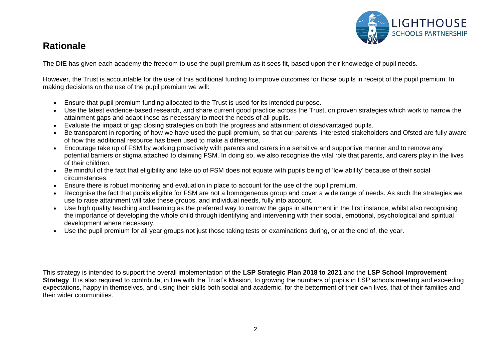

### **Rationale**

The DfE has given each academy the freedom to use the pupil premium as it sees fit, based upon their knowledge of pupil needs.

However, the Trust is accountable for the use of this additional funding to improve outcomes for those pupils in receipt of the pupil premium. In making decisions on the use of the pupil premium we will:

- Ensure that pupil premium funding allocated to the Trust is used for its intended purpose.
- Use the latest evidence-based research, and share current good practice across the Trust, on proven strategies which work to narrow the attainment gaps and adapt these as necessary to meet the needs of all pupils.
- Evaluate the impact of gap closing strategies on both the progress and attainment of disadvantaged pupils.
- Be transparent in reporting of how we have used the pupil premium, so that our parents, interested stakeholders and Ofsted are fully aware of how this additional resource has been used to make a difference.
- Encourage take up of FSM by working proactively with parents and carers in a sensitive and supportive manner and to remove any potential barriers or stigma attached to claiming FSM. In doing so, we also recognise the vital role that parents, and carers play in the lives of their children.
- Be mindful of the fact that eligibility and take up of FSM does not equate with pupils being of 'low ability' because of their social circumstances.
- Ensure there is robust monitoring and evaluation in place to account for the use of the pupil premium.
- Recognise the fact that pupils eligible for FSM are not a homogeneous group and cover a wide range of needs. As such the strategies we use to raise attainment will take these groups, and individual needs, fully into account.
- Use high quality teaching and learning as the preferred way to narrow the gaps in attainment in the first instance, whilst also recognising the importance of developing the whole child through identifying and intervening with their social, emotional, psychological and spiritual development where necessary.
- Use the pupil premium for all year groups not just those taking tests or examinations during, or at the end of, the year.

This strategy is intended to support the overall implementation of the **LSP Strategic Plan 2018 to 2021** and the **LSP School Improvement Strategy**. It is also required to contribute, in line with the Trust's Mission, to growing the numbers of pupils in LSP schools meeting and exceeding expectations, happy in themselves, and using their skills both social and academic, for the betterment of their own lives, that of their families and their wider communities.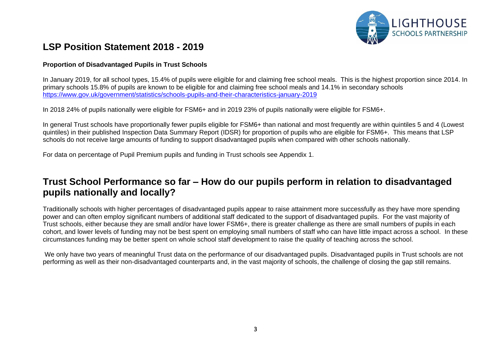

### **LSP Position Statement 2018 - 2019**

#### **Proportion of Disadvantaged Pupils in Trust Schools**

In January 2019, for all school types, 15.4% of pupils were eligible for and claiming free school meals. This is the highest proportion since 2014. In primary schools 15.8% of pupils are known to be eligible for and claiming free school meals and 14.1% in secondary schools <https://www.gov.uk/government/statistics/schools-pupils-and-their-characteristics-january-2019>

In 2018 24% of pupils nationally were eligible for FSM6+ and in 2019 23% of pupils nationally were eligible for FSM6+.

In general Trust schools have proportionally fewer pupils eligible for FSM6+ than national and most frequently are within quintiles 5 and 4 (Lowest quintiles) in their published Inspection Data Summary Report (IDSR) for proportion of pupils who are eligible for FSM6+. This means that LSP schools do not receive large amounts of funding to support disadvantaged pupils when compared with other schools nationally.

For data on percentage of Pupil Premium pupils and funding in Trust schools see Appendix 1.

### **Trust School Performance so far – How do our pupils perform in relation to disadvantaged pupils nationally and locally?**

Traditionally schools with higher percentages of disadvantaged pupils appear to raise attainment more successfully as they have more spending power and can often employ significant numbers of additional staff dedicated to the support of disadvantaged pupils. For the vast majority of Trust schools, either because they are small and/or have lower FSM6+, there is greater challenge as there are small numbers of pupils in each cohort, and lower levels of funding may not be best spent on employing small numbers of staff who can have little impact across a school. In these circumstances funding may be better spent on whole school staff development to raise the quality of teaching across the school.

We only have two years of meaningful Trust data on the performance of our disadvantaged pupils. Disadvantaged pupils in Trust schools are not performing as well as their non-disadvantaged counterparts and, in the vast majority of schools, the challenge of closing the gap still remains.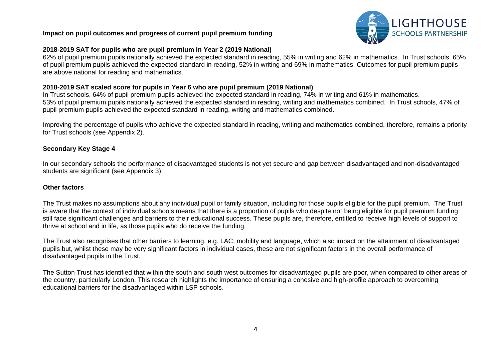#### **Impact on pupil outcomes and progress of current pupil premium funding**



#### **2018-2019 SAT for pupils who are pupil premium in Year 2 (2019 National)**

62% of pupil premium pupils nationally achieved the expected standard in reading, 55% in writing and 62% in mathematics. In Trust schools, 65% of pupil premium pupils achieved the expected standard in reading, 52% in writing and 69% in mathematics. Outcomes for pupil premium pupils are above national for reading and mathematics.

#### **2018-2019 SAT scaled score for pupils in Year 6 who are pupil premium (2019 National)**

In Trust schools, 64% of pupil premium pupils achieved the expected standard in reading, 74% in writing and 61% in mathematics. 53% of pupil premium pupils nationally achieved the expected standard in reading, writing and mathematics combined. In Trust schools, 47% of pupil premium pupils achieved the expected standard in reading, writing and mathematics combined.

Improving the percentage of pupils who achieve the expected standard in reading, writing and mathematics combined, therefore, remains a priority for Trust schools (see Appendix 2).

#### **Secondary Key Stage 4**

In our secondary schools the performance of disadvantaged students is not yet secure and gap between disadvantaged and non-disadvantaged students are significant (see Appendix 3).

#### **Other factors**

The Trust makes no assumptions about any individual pupil or family situation, including for those pupils eligible for the pupil premium. The Trust is aware that the context of individual schools means that there is a proportion of pupils who despite not being eligible for pupil premium funding still face significant challenges and barriers to their educational success. These pupils are, therefore, entitled to receive high levels of support to thrive at school and in life, as those pupils who do receive the funding.

The Trust also recognises that other barriers to learning, e.g. LAC, mobility and language, which also impact on the attainment of disadvantaged pupils but, whilst these may be very significant factors in individual cases, these are not significant factors in the overall performance of disadvantaged pupils in the Trust.

The Sutton Trust has identified that within the south and south west outcomes for disadvantaged pupils are poor, when compared to other areas of the country, particularly London. This research highlights the importance of ensuring a cohesive and high-profile approach to overcoming educational barriers for the disadvantaged within LSP schools.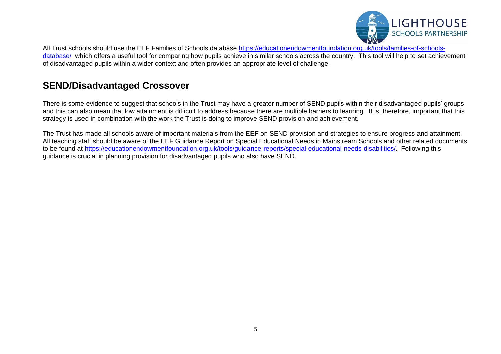

All Trust schools should use the EEF Families of Schools database [https://educationendowmentfoundation.org.uk/tools/families-of-schools](https://educationendowmentfoundation.org.uk/tools/families-of-schools-database/)[database/](https://educationendowmentfoundation.org.uk/tools/families-of-schools-database/) which offers a useful tool for comparing how pupils achieve in similar schools across the country. This tool will help to set achievement of disadvantaged pupils within a wider context and often provides an appropriate level of challenge.

### **SEND/Disadvantaged Crossover**

There is some evidence to suggest that schools in the Trust may have a greater number of SEND pupils within their disadvantaged pupils' groups and this can also mean that low attainment is difficult to address because there are multiple barriers to learning. It is, therefore, important that this strategy is used in combination with the work the Trust is doing to improve SEND provision and achievement.

The Trust has made all schools aware of important materials from the EEF on SEND provision and strategies to ensure progress and attainment. All teaching staff should be aware of the EEF Guidance Report on Special Educational Needs in Mainstream Schools and other related documents to be found at [https://educationendowmentfoundation.org.uk/tools/guidance-reports/special-educational-needs-disabilities/.](https://educationendowmentfoundation.org.uk/tools/guidance-reports/special-educational-needs-disabilities/) Following this guidance is crucial in planning provision for disadvantaged pupils who also have SEND.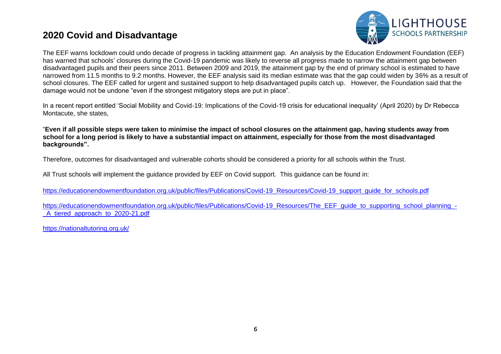### **2020 Covid and Disadvantage**



The EEF warns lockdown could undo decade of progress in tackling attainment gap. An analysis by the Education Endowment Foundation (EEF) has warned that schools' closures during the Covid-19 pandemic was likely to reverse all progress made to narrow the attainment gap between disadvantaged pupils and their peers since 2011. Between 2009 and 2019, the attainment gap by the end of primary school is estimated to have narrowed from 11.5 months to 9.2 months. However, the EEF analysis said its median estimate was that the gap could widen by 36% as a result of school closures. The EEF called for urgent and sustained support to help disadvantaged pupils catch up. However, the Foundation said that the damage would not be undone "even if the strongest mitigatory steps are put in place".

In a recent report entitled 'Social Mobility and Covid-19: Implications of the Covid-19 crisis for educational inequality' (April 2020) by Dr Rebecca Montacute, she states,

"**Even if all possible steps were taken to minimise the impact of school closures on the attainment gap, having students away from school for a long period is likely to have a substantial impact on attainment, especially for those from the most disadvantaged backgrounds".**

Therefore, outcomes for disadvantaged and vulnerable cohorts should be considered a priority for all schools within the Trust.

All Trust schools will implement the guidance provided by EEF on Covid support. This guidance can be found in:

[https://educationendowmentfoundation.org.uk/public/files/Publications/Covid-19\\_Resources/Covid-19\\_support\\_guide\\_for\\_schools.pdf](https://educationendowmentfoundation.org.uk/public/files/Publications/Covid-19_Resources/Covid-19_support_guide_for_schools.pdf)

[https://educationendowmentfoundation.org.uk/public/files/Publications/Covid-19\\_Resources/The\\_EEF\\_guide\\_to\\_supporting\\_school\\_planning\\_-](https://educationendowmentfoundation.org.uk/public/files/Publications/Covid-19_Resources/The_EEF_guide_to_supporting_school_planning_-_A_tiered_approach_to_2020-21.pdf) A tiered approach to 2020-21.pdf

<https://nationaltutoring.org.uk/>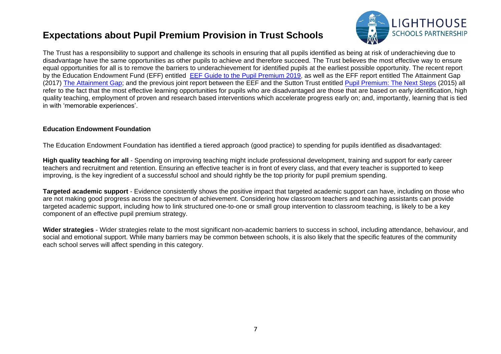### **Expectations about Pupil Premium Provision in Trust Schools**



The Trust has a responsibility to support and challenge its schools in ensuring that all pupils identified as being at risk of underachieving due to disadvantage have the same opportunities as other pupils to achieve and therefore succeed. The Trust believes the most effective way to ensure equal opportunities for all is to remove the barriers to underachievement for identified pupils at the earliest possible opportunity. The recent report by the Education Endowment Fund (EFF) entitled [EEF Guide to the Pupil Premium 2019,](https://www.llse.org.uk/uploads/datahub/4567ceb%5E03in-03/2019-10-21-EEF%20-%20Pupil_Premium_Guidance.pdf) as well as the EFF report entitled The Attainment Gap (2017) [The Attainment Gap;](https://educationendowmentfoundation.org.uk/evidence-summaries/attainment-gap/) and the previous joint report between the EEF and the Sutton Trust entitled [Pupil Premium: The Next Steps](https://www.suttontrust.com/wp-content/uploads/2019/12/Pupil-Premium-Summit-Report-FINAL-EDIT-1.pdf) (2015) all refer to the fact that the most effective learning opportunities for pupils who are disadvantaged are those that are based on early identification, high quality teaching, employment of proven and research based interventions which accelerate progress early on; and, importantly, learning that is tied in with 'memorable experiences'.

#### **Education Endowment Foundation**

The Education Endowment Foundation has identified a tiered approach (good practice) to spending for pupils identified as disadvantaged:

**High quality teaching for all** - Spending on improving teaching might include professional development, training and support for early career teachers and recruitment and retention. Ensuring an effective teacher is in front of every class, and that every teacher is supported to keep improving, is the key ingredient of a successful school and should rightly be the top priority for pupil premium spending.

**Targeted academic support** - Evidence consistently shows the positive impact that targeted academic support can have, including on those who are not making good progress across the spectrum of achievement. Considering how classroom teachers and teaching assistants can provide targeted academic support, including how to link structured one-to-one or small group intervention to classroom teaching, is likely to be a key component of an effective pupil premium strategy.

**Wider strategies** - Wider strategies relate to the most significant non-academic barriers to success in school, including attendance, behaviour, and social and emotional support. While many barriers may be common between schools, it is also likely that the specific features of the community each school serves will affect spending in this category.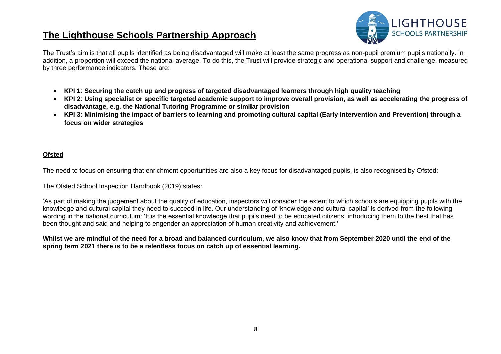### **The Lighthouse Schools Partnership Approach**



The Trust's aim is that all pupils identified as being disadvantaged will make at least the same progress as non-pupil premium pupils nationally. In addition, a proportion will exceed the national average. To do this, the Trust will provide strategic and operational support and challenge, measured by three performance indicators. These are:

- **KPI 1**: **Securing the catch up and progress of targeted disadvantaged learners through high quality teaching**
- **KPI 2**: **Using specialist or specific targeted academic support to improve overall provision, as well as accelerating the progress of disadvantage, e.g. the National Tutoring Programme or similar provision**
- **KPI 3**: **Minimising the impact of barriers to learning and promoting cultural capital (Early Intervention and Prevention) through a focus on wider strategies**

#### **Ofsted**

The need to focus on ensuring that enrichment opportunities are also a key focus for disadvantaged pupils, is also recognised by Ofsted:

The Ofsted School Inspection Handbook (2019) states:

'As part of making the judgement about the quality of education, inspectors will consider the extent to which schools are equipping pupils with the knowledge and cultural capital they need to succeed in life. Our understanding of 'knowledge and cultural capital' is derived from the following wording in the national curriculum: 'It is the essential knowledge that pupils need to be educated citizens, introducing them to the best that has been thought and said and helping to engender an appreciation of human creativity and achievement.**'**

**Whilst we are mindful of the need for a broad and balanced curriculum, we also know that from September 2020 until the end of the spring term 2021 there is to be a relentless focus on catch up of essential learning.**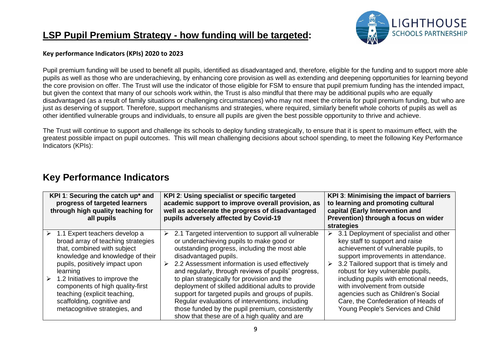# **LSP Pupil Premium Strategy - how funding will be targeted:**



#### **Key performance Indicators (KPIs) 2020 to 2023**

Pupil premium funding will be used to benefit all pupils, identified as disadvantaged and, therefore, eligible for the funding and to support more able pupils as well as those who are underachieving, by enhancing core provision as well as extending and deepening opportunities for learning beyond the core provision on offer. The Trust will use the indicator of those eligible for FSM to ensure that pupil premium funding has the intended impact, but given the context that many of our schools work within, the Trust is also mindful that there may be additional pupils who are equally disadvantaged (as a result of family situations or challenging circumstances) who may not meet the criteria for pupil premium funding, but who are just as deserving of support. Therefore, support mechanisms and strategies, where required, similarly benefit whole cohorts of pupils as well as other identified vulnerable groups and individuals, to ensure all pupils are given the best possible opportunity to thrive and achieve.

The Trust will continue to support and challenge its schools to deploy funding strategically, to ensure that it is spent to maximum effect, with the greatest possible impact on pupil outcomes. This will mean challenging decisions about school spending, to meet the following Key Performance Indicators (KPIs):

# **Key Performance Indicators**

| KPI 1: Securing the catch up* and<br>progress of targeted learners<br>through high quality teaching for<br>all pupils                                                                                                                                                                                                                                          | KPI 2: Using specialist or specific targeted<br>academic support to improve overall provision, as<br>well as accelerate the progress of disadvantaged<br>pupils adversely affected by Covid-19                                                                                                                                                                                                                                                                                                                                                                                                                | KPI 3: Minimising the impact of barriers<br>to learning and promoting cultural<br>capital (Early Intervention and<br>Prevention) through a focus on wider<br>strategies                                                                                                                                                                                                                                                                        |  |  |  |
|----------------------------------------------------------------------------------------------------------------------------------------------------------------------------------------------------------------------------------------------------------------------------------------------------------------------------------------------------------------|---------------------------------------------------------------------------------------------------------------------------------------------------------------------------------------------------------------------------------------------------------------------------------------------------------------------------------------------------------------------------------------------------------------------------------------------------------------------------------------------------------------------------------------------------------------------------------------------------------------|------------------------------------------------------------------------------------------------------------------------------------------------------------------------------------------------------------------------------------------------------------------------------------------------------------------------------------------------------------------------------------------------------------------------------------------------|--|--|--|
| 1.1 Expert teachers develop a<br>➤<br>broad array of teaching strategies<br>that, combined with subject<br>knowledge and knowledge of their<br>pupils, positively impact upon<br>learning<br>1.2 Initiatives to improve the<br>components of high quality-first<br>teaching (explicit teaching,<br>scaffolding, cognitive and<br>metacognitive strategies, and | 2.1 Targeted intervention to support all vulnerable<br>➤<br>or underachieving pupils to make good or<br>outstanding progress, including the most able<br>disadvantaged pupils.<br>2.2 Assessment information is used effectively<br>➤<br>and regularly, through reviews of pupils' progress,<br>to plan strategically for provision and the<br>deployment of skilled additional adults to provide<br>support for targeted pupils and groups of pupils.<br>Regular evaluations of interventions, including<br>those funded by the pupil premium, consistently<br>show that these are of a high quality and are | 3.1 Deployment of specialist and other<br>➤<br>key staff to support and raise<br>achievement of vulnerable pupils, to<br>support improvements in attendance.<br>3.2 Tailored support that is timely and<br>➤<br>robust for key vulnerable pupils,<br>including pupils with emotional needs,<br>with involvement from outside<br>agencies such as Children's Social<br>Care, the Confederation of Heads of<br>Young People's Services and Child |  |  |  |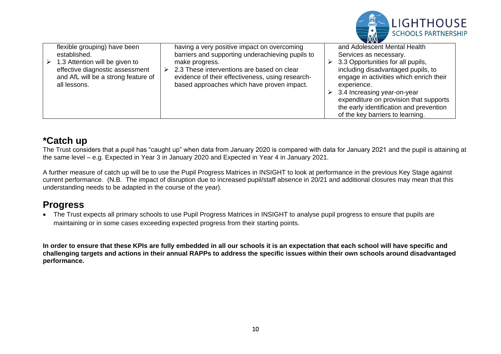|   |                                                                                                                                                                          |                                                                                                                                                                                                                                                                                         | <b>SCHOOLS PARTNERSHIP</b>                                                                                                                                                                                                                                                                                                           |
|---|--------------------------------------------------------------------------------------------------------------------------------------------------------------------------|-----------------------------------------------------------------------------------------------------------------------------------------------------------------------------------------------------------------------------------------------------------------------------------------|--------------------------------------------------------------------------------------------------------------------------------------------------------------------------------------------------------------------------------------------------------------------------------------------------------------------------------------|
| ➤ | flexible grouping) have been<br>established.<br>1.3 Attention will be given to<br>effective diagnostic assessment<br>and AfL will be a strong feature of<br>all lessons. | having a very positive impact on overcoming<br>barriers and supporting underachieving pupils to<br>make progress.<br>$\geq$ 2.3 These interventions are based on clear<br>evidence of their effectiveness, using research-<br>based approaches which have proven impact.<br>experience. | and Adolescent Mental Health<br>Services as necessary.<br>3.3 Opportunities for all pupils,<br>including disadvantaged pupils, to<br>engage in activities which enrich their<br>3.4 Increasing year-on-year<br>expenditure on provision that supports<br>the early identification and prevention<br>of the key barriers to learning. |

LIGHTHOUSE

### **\*Catch up**

The Trust considers that a pupil has "caught up" when data from January 2020 is compared with data for January 2021 and the pupil is attaining at the same level – e.g. Expected in Year 3 in January 2020 and Expected in Year 4 in January 2021.

A further measure of catch up will be to use the Pupil Progress Matrices in INSIGHT to look at performance in the previous Key Stage against current performance. (N.B. The impact of disruption due to increased pupil/staff absence in 20/21 and additional closures may mean that this understanding needs to be adapted in the course of the year).

# **Progress**

• The Trust expects all primary schools to use Pupil Progress Matrices in INSIGHT to analyse pupil progress to ensure that pupils are maintaining or in some cases exceeding expected progress from their starting points.

**In order to ensure that these KPIs are fully embedded in all our schools it is an expectation that each school will have specific and challenging targets and actions in their annual RAPPs to address the specific issues within their own schools around disadvantaged performance.**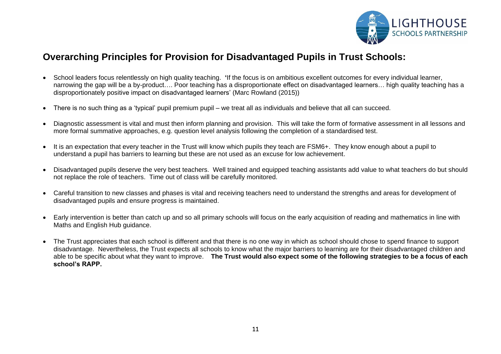

### **Overarching Principles for Provision for Disadvantaged Pupils in Trust Schools:**

- School leaders focus relentlessly on high quality teaching. **'**If the focus is on ambitious excellent outcomes for every individual learner, narrowing the gap will be a by-product…. Poor teaching has a disproportionate effect on disadvantaged learners… high quality teaching has a disproportionately positive impact on disadvantaged learners' (Marc Rowland (2015))
- There is no such thing as a 'typical' pupil premium pupil we treat all as individuals and believe that all can succeed.
- Diagnostic assessment is vital and must then inform planning and provision. This will take the form of formative assessment in all lessons and more formal summative approaches, e.g. question level analysis following the completion of a standardised test.
- It is an expectation that every teacher in the Trust will know which pupils they teach are FSM6+. They know enough about a pupil to understand a pupil has barriers to learning but these are not used as an excuse for low achievement.
- Disadvantaged pupils deserve the very best teachers. Well trained and equipped teaching assistants add value to what teachers do but should not replace the role of teachers. Time out of class will be carefully monitored.
- Careful transition to new classes and phases is vital and receiving teachers need to understand the strengths and areas for development of disadvantaged pupils and ensure progress is maintained.
- Early intervention is better than catch up and so all primary schools will focus on the early acquisition of reading and mathematics in line with Maths and English Hub guidance.
- The Trust appreciates that each school is different and that there is no one way in which as school should chose to spend finance to support disadvantage. Nevertheless, the Trust expects all schools to know what the major barriers to learning are for their disadvantaged children and able to be specific about what they want to improve. **The Trust would also expect some of the following strategies to be a focus of each school's RAPP.**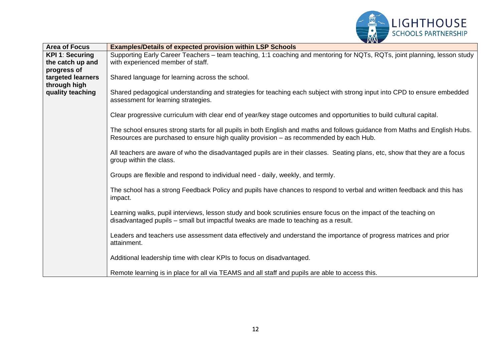

| <b>Area of Focus</b>             | <b>Examples/Details of expected provision within LSP Schools</b>                                                                                                                                                      |
|----------------------------------|-----------------------------------------------------------------------------------------------------------------------------------------------------------------------------------------------------------------------|
| <b>KPI 1: Securing</b>           | Supporting Early Career Teachers - team teaching, 1:1 coaching and mentoring for NQTs, RQTs, joint planning, lesson study                                                                                             |
| the catch up and                 | with experienced member of staff.                                                                                                                                                                                     |
| progress of                      |                                                                                                                                                                                                                       |
| targeted learners                | Shared language for learning across the school.                                                                                                                                                                       |
| through high<br>quality teaching | Shared pedagogical understanding and strategies for teaching each subject with strong input into CPD to ensure embedded<br>assessment for learning strategies.                                                        |
|                                  | Clear progressive curriculum with clear end of year/key stage outcomes and opportunities to build cultural capital.                                                                                                   |
|                                  | The school ensures strong starts for all pupils in both English and maths and follows guidance from Maths and English Hubs.<br>Resources are purchased to ensure high quality provision – as recommended by each Hub. |
|                                  | All teachers are aware of who the disadvantaged pupils are in their classes. Seating plans, etc, show that they are a focus<br>group within the class.                                                                |
|                                  | Groups are flexible and respond to individual need - daily, weekly, and termly.                                                                                                                                       |
|                                  | The school has a strong Feedback Policy and pupils have chances to respond to verbal and written feedback and this has<br>impact.                                                                                     |
|                                  | Learning walks, pupil interviews, lesson study and book scrutinies ensure focus on the impact of the teaching on<br>disadvantaged pupils - small but impactful tweaks are made to teaching as a result.               |
|                                  | Leaders and teachers use assessment data effectively and understand the importance of progress matrices and prior<br>attainment.                                                                                      |
|                                  | Additional leadership time with clear KPIs to focus on disadvantaged.                                                                                                                                                 |
|                                  | Remote learning is in place for all via TEAMS and all staff and pupils are able to access this.                                                                                                                       |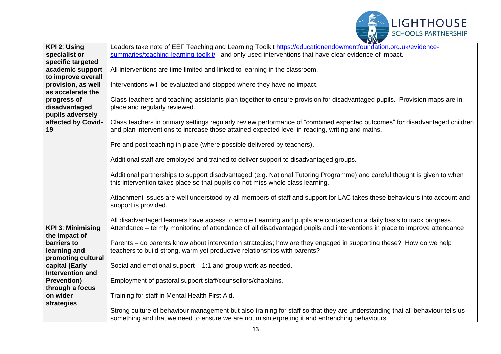

| KPI 2: Using                       | Leaders take note of EEF Teaching and Learning Toolkit https://educationendowmentfoundation.org.uk/evidence-                                                                                                                    |  |  |  |  |
|------------------------------------|---------------------------------------------------------------------------------------------------------------------------------------------------------------------------------------------------------------------------------|--|--|--|--|
| specialist or                      | summaries/teaching-learning-toolkit/ and only used interventions that have clear evidence of impact.                                                                                                                            |  |  |  |  |
| specific targeted                  |                                                                                                                                                                                                                                 |  |  |  |  |
| academic support                   | All interventions are time limited and linked to learning in the classroom.                                                                                                                                                     |  |  |  |  |
| to improve overall                 |                                                                                                                                                                                                                                 |  |  |  |  |
| provision, as well                 | Interventions will be evaluated and stopped where they have no impact.                                                                                                                                                          |  |  |  |  |
| as accelerate the                  |                                                                                                                                                                                                                                 |  |  |  |  |
| progress of                        | Class teachers and teaching assistants plan together to ensure provision for disadvantaged pupils. Provision maps are in                                                                                                        |  |  |  |  |
| disadvantaged                      | place and regularly reviewed.                                                                                                                                                                                                   |  |  |  |  |
| pupils adversely                   |                                                                                                                                                                                                                                 |  |  |  |  |
| affected by Covid-<br>19           | Class teachers in primary settings regularly review performance of "combined expected outcomes" for disadvantaged children<br>and plan interventions to increase those attained expected level in reading, writing and maths.   |  |  |  |  |
|                                    | Pre and post teaching in place (where possible delivered by teachers).                                                                                                                                                          |  |  |  |  |
|                                    | Additional staff are employed and trained to deliver support to disadvantaged groups.                                                                                                                                           |  |  |  |  |
|                                    | Additional partnerships to support disadvantaged (e.g. National Tutoring Programme) and careful thought is given to when<br>this intervention takes place so that pupils do not miss whole class learning.                      |  |  |  |  |
|                                    | Attachment issues are well understood by all members of staff and support for LAC takes these behaviours into account and<br>support is provided.                                                                               |  |  |  |  |
|                                    |                                                                                                                                                                                                                                 |  |  |  |  |
|                                    | All disadvantaged learners have access to emote Learning and pupils are contacted on a daily basis to track progress.                                                                                                           |  |  |  |  |
| <b>KPI 3: Minimising</b>           | Attendance – termly monitoring of attendance of all disadvantaged pupils and interventions in place to improve attendance.                                                                                                      |  |  |  |  |
| the impact of                      |                                                                                                                                                                                                                                 |  |  |  |  |
| barriers to                        | Parents - do parents know about intervention strategies; how are they engaged in supporting these? How do we help                                                                                                               |  |  |  |  |
| learning and                       | teachers to build strong, warm yet productive relationships with parents?                                                                                                                                                       |  |  |  |  |
| promoting cultural                 |                                                                                                                                                                                                                                 |  |  |  |  |
| capital (Early<br>Intervention and | Social and emotional support $-1:1$ and group work as needed.                                                                                                                                                                   |  |  |  |  |
|                                    |                                                                                                                                                                                                                                 |  |  |  |  |
| <b>Prevention)</b>                 | Employment of pastoral support staff/counsellors/chaplains.                                                                                                                                                                     |  |  |  |  |
| through a focus<br>on wider        |                                                                                                                                                                                                                                 |  |  |  |  |
|                                    | Training for staff in Mental Health First Aid.                                                                                                                                                                                  |  |  |  |  |
| strategies                         |                                                                                                                                                                                                                                 |  |  |  |  |
|                                    | Strong culture of behaviour management but also training for staff so that they are understanding that all behaviour tells us<br>something and that we need to ensure we are not misinterpreting it and entrenching behaviours. |  |  |  |  |
|                                    |                                                                                                                                                                                                                                 |  |  |  |  |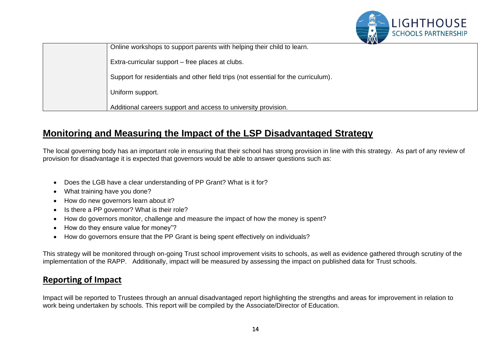

| $\boldsymbol{V}$ with $\boldsymbol{\lambda}$                                       |
|------------------------------------------------------------------------------------|
| Online workshops to support parents with helping their child to learn.             |
| Extra-curricular support – free places at clubs.                                   |
| Support for residentials and other field trips (not essential for the curriculum). |
| Uniform support.                                                                   |
| Additional careers support and access to university provision.                     |

## **Monitoring and Measuring the Impact of the LSP Disadvantaged Strategy**

The local governing body has an important role in ensuring that their school has strong provision in line with this strategy. As part of any review of provision for disadvantage it is expected that governors would be able to answer questions such as:

- Does the LGB have a clear understanding of PP Grant? What is it for?
- What training have you done?
- How do new governors learn about it?
- Is there a PP governor? What is their role?
- How do governors monitor, challenge and measure the impact of how the money is spent?
- How do they ensure value for money"?
- How do governors ensure that the PP Grant is being spent effectively on individuals?

This strategy will be monitored through on-going Trust school improvement visits to schools, as well as evidence gathered through scrutiny of the implementation of the RAPP. Additionally, impact will be measured by assessing the impact on published data for Trust schools.

### **Reporting of Impact**

Impact will be reported to Trustees through an annual disadvantaged report highlighting the strengths and areas for improvement in relation to work being undertaken by schools. This report will be compiled by the Associate/Director of Education.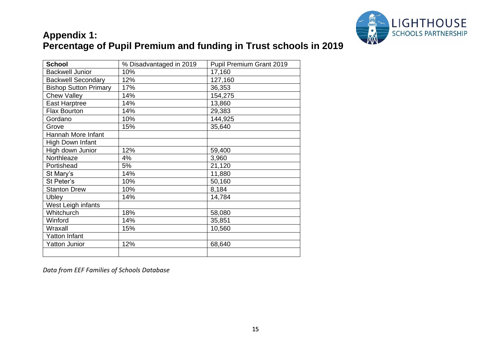

# **Appendix 1: Percentage of Pupil Premium and funding in Trust schools in 2019**

| <b>School</b>                | % Disadvantaged in 2019 | Pupil Premium Grant 2019 |  |  |  |
|------------------------------|-------------------------|--------------------------|--|--|--|
| <b>Backwell Junior</b>       | 10%                     | 17,160                   |  |  |  |
| <b>Backwell Secondary</b>    | 12%                     | 127,160                  |  |  |  |
| <b>Bishop Sutton Primary</b> | 17%                     | 36,353                   |  |  |  |
| <b>Chew Valley</b>           | 14%                     | 154,275                  |  |  |  |
| <b>East Harptree</b>         | 14%                     | 13,860                   |  |  |  |
| <b>Flax Bourton</b>          | 14%                     | 29,383                   |  |  |  |
| Gordano                      | 10%                     | 144,925                  |  |  |  |
| Grove                        | 15%                     | 35,640                   |  |  |  |
| Hannah More Infant           |                         |                          |  |  |  |
| High Down Infant             |                         |                          |  |  |  |
| High down Junior             | 12%                     | 59,400                   |  |  |  |
| Northleaze                   | 4%                      | 3,960                    |  |  |  |
| Portishead                   | 5%                      | 21,120                   |  |  |  |
| St Mary's                    | 14%                     | 11,880                   |  |  |  |
| St Peter's                   | 10%                     | 50,160                   |  |  |  |
| <b>Stanton Drew</b>          | 10%                     | 8,184                    |  |  |  |
| <b>Ubley</b>                 | 14%                     | 14,784                   |  |  |  |
| West Leigh infants           |                         |                          |  |  |  |
| Whitchurch                   | 18%                     | 58,080                   |  |  |  |
| Winford                      | 14%                     | 35,851                   |  |  |  |
| Wraxall                      | 15%                     | 10,560                   |  |  |  |
| Yatton Infant                |                         |                          |  |  |  |
| <b>Yatton Junior</b>         | 12%                     | 68,640                   |  |  |  |
|                              |                         |                          |  |  |  |

*Data from EEF Families of Schools Database*